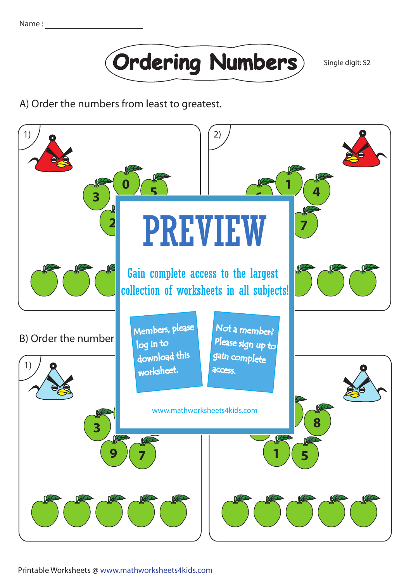

A) Order the numbers from least to greatest.



Printable Worksheets @ www.mathworksheets4kids.com